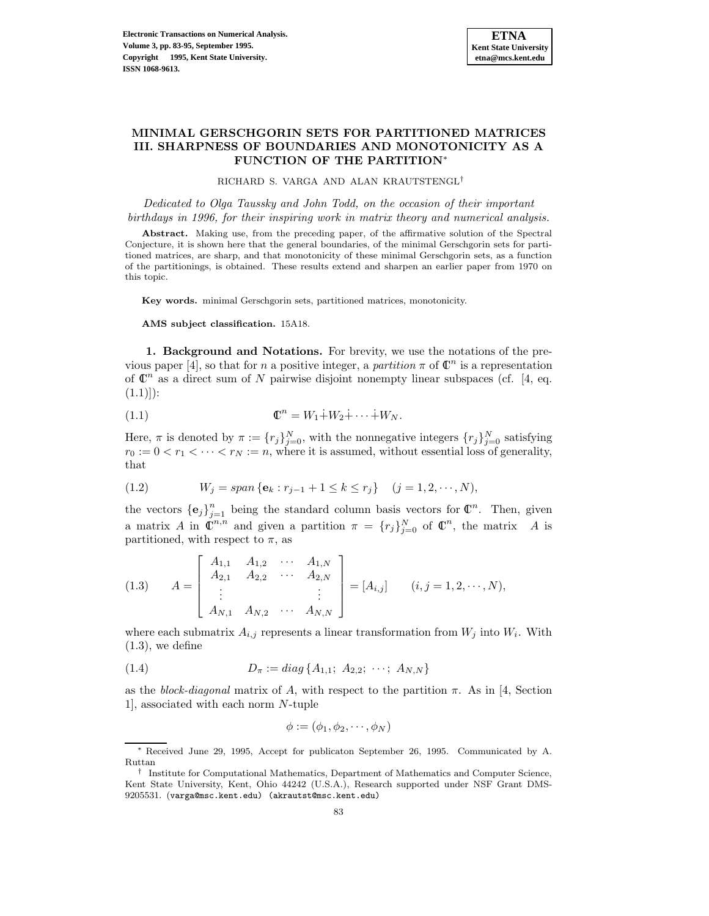# **MINIMAL GERSCHGORIN SETS FOR PARTITIONED MATRICES III. SHARPNESS OF BOUNDARIES AND MONOTONICITY AS A FUNCTION OF THE PARTITION**<sup>∗</sup>

RICHARD S. VARGA AND ALAN KRAUTSTENGL†

Dedicated to Olga Taussky and John Todd, on the occasion of their important birthdays in 1996, for their inspiring work in matrix theory and numerical analysis.

**Abstract.** Making use, from the preceding paper, of the affirmative solution of the Spectral Conjecture, it is shown here that the general boundaries, of the minimal Gerschgorin sets for partitioned matrices, are sharp, and that monotonicity of these minimal Gerschgorin sets, as a function of the partitionings, is obtained. These results extend and sharpen an earlier paper from 1970 on this topic.

**Key words.** minimal Gerschgorin sets, partitioned matrices, monotonicity.

**AMS subject classification.** 15A18.

**1. Background and Notations.** For brevity, we use the notations of the previous paper [4], so that for n a positive integer, a partition  $\pi$  of  $\mathbb{C}^n$  is a representation of  $\mathbb{C}^n$  as a direct sum of N pairwise disjoint nonempty linear subspaces (cf. [4, eq.  $(1.1))$ :

$$
(1.1) \t\t\t\t\t\mathbb{C}^n = W_1 \dot{+} W_2 \dot{+} \cdots \dot{+} W_N.
$$

Here,  $\pi$  is denoted by  $\pi := \{r_j\}_{j=0}^N$ , with the nonnegative integers  $\{r_j\}_{j=0}^N$  satisfying  $r_0 := 0 < r_1 < \cdots < r_N := n$ , where it is assumed, without essential loss of generality, that

(1.2) 
$$
W_j = span \{ e_k : r_{j-1} + 1 \le k \le r_j \} \quad (j = 1, 2, \cdots, N),
$$

the vectors  ${\bf \{e}_j\}_{j=1}^n$  being the standard column basis vectors for  $\mathbb{C}^n$ . Then, given a matrix A in  $\mathbb{C}^{n,n}$  and given a partition  $\pi = \{r_j\}_{j=0}^N$  of  $\mathbb{C}^n$ , the matrix A is partitioned, with respect to  $\pi$ , as

(1.3) 
$$
A = \begin{bmatrix} A_{1,1} & A_{1,2} & \cdots & A_{1,N} \\ A_{2,1} & A_{2,2} & \cdots & A_{2,N} \\ \vdots & & & \vdots \\ A_{N,1} & A_{N,2} & \cdots & A_{N,N} \end{bmatrix} = [A_{i,j}] \qquad (i,j = 1,2,\cdots,N),
$$

where each submatrix  $A_{i,j}$  represents a linear transformation from  $W_j$  into  $W_i$ . With  $(1.3)$ , we define

(1.4) 
$$
D_{\pi} := diag\{A_{1,1}; A_{2,2}; \cdots; A_{N,N}\}\
$$

as the block-diagonal matrix of A, with respect to the partition  $\pi$ . As in [4, Section 1], associated with each norm N-tuple

$$
\phi := (\phi_1, \phi_2, \cdots, \phi_N)
$$

<sup>∗</sup> Received June 29, 1995, Accept for publicaton September 26, 1995. Communicated by A. Ruttan

<sup>†</sup> Institute for Computational Mathematics, Department of Mathematics and Computer Science, Kent State University, Kent, Ohio 44242 (U.S.A.), Research supported under NSF Grant DMS-9205531. (varga@msc.kent.edu) (akrautst@msc.kent.edu)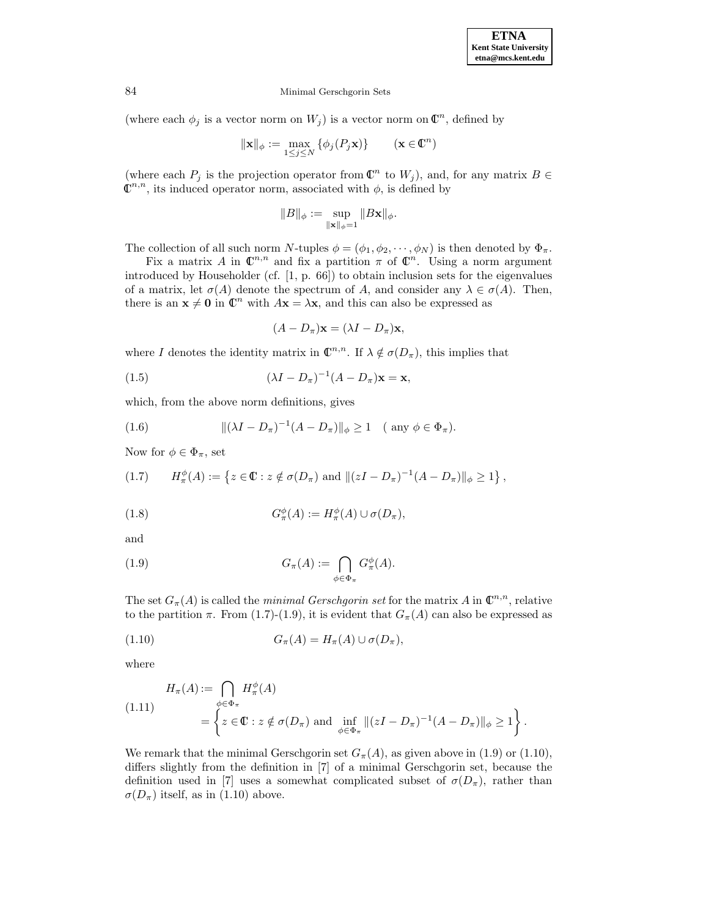(where each  $\phi_j$  is a vector norm on  $W_j$ ) is a vector norm on  $\mathbb{C}^n$ , defined by

$$
\|\mathbf{x}\|_{\phi} := \max_{1 \le j \le N} \{\phi_j(P_j \mathbf{x})\} \qquad (\mathbf{x} \in \mathbb{C}^n)
$$

(where each  $P_j$  is the projection operator from  $\mathbb{C}^n$  to  $W_j$ ), and, for any matrix  $B \in$  $\mathbb{C}^{n,n}$ , its induced operator norm, associated with  $\phi$ , is defined by

$$
\|B\|_\phi:=\sup_{\|\mathbf{x}\|_\phi=1}\|B\mathbf{x}\|_\phi.
$$

The collection of all such norm N-tuples  $\phi = (\phi_1, \phi_2, \dots, \phi_N)$  is then denoted by  $\Phi_\pi$ .

Fix a matrix A in  $\mathbb{C}^{n,n}$  and fix a partition  $\pi$  of  $\mathbb{C}^n$ . Using a norm argument introduced by Householder (cf. [1, p. 66]) to obtain inclusion sets for the eigenvalues of a matrix, let  $\sigma(A)$  denote the spectrum of A, and consider any  $\lambda \in \sigma(A)$ . Then, there is an  $\mathbf{x} \neq \mathbf{0}$  in  $\mathbb{C}^n$  with  $A\mathbf{x} = \lambda \mathbf{x}$ , and this can also be expressed as

$$
(A - D_{\pi})\mathbf{x} = (\lambda I - D_{\pi})\mathbf{x},
$$

where I denotes the identity matrix in  $\mathbb{C}^{n,n}$ . If  $\lambda \notin \sigma(D_{\pi})$ , this implies that

(1.5) 
$$
(\lambda I - D_{\pi})^{-1} (A - D_{\pi}) \mathbf{x} = \mathbf{x},
$$

which, from the above norm definitions, gives

(1.6) 
$$
\|(\lambda I - D_{\pi})^{-1}(A - D_{\pi})\|_{\phi} \ge 1 \quad (\text{any } \phi \in \Phi_{\pi}).
$$

Now for  $\phi \in \Phi_{\pi}$ , set

$$
(1.7) \tH^{\phi}_{\pi}(A) := \left\{ z \in \mathbb{C} : z \notin \sigma(D_{\pi}) \text{ and } \|(zI - D_{\pi})^{-1}(A - D_{\pi})\|_{\phi} \ge 1 \right\},\,
$$

(1.8) 
$$
G_{\pi}^{\phi}(A) := H_{\pi}^{\phi}(A) \cup \sigma(D_{\pi}),
$$

and

(1.9) 
$$
G_{\pi}(A) := \bigcap_{\phi \in \Phi_{\pi}} G_{\pi}^{\phi}(A).
$$

The set  $G_{\pi}(A)$  is called the *minimal Gerschgorin set* for the matrix A in  $\mathbb{C}^{n,n}$ , relative to the partition  $\pi$ . From (1.7)-(1.9), it is evident that  $G_{\pi}(A)$  can also be expressed as

$$
(1.10) \t G_{\pi}(A) = H_{\pi}(A) \cup \sigma(D_{\pi}),
$$

where

$$
H_{\pi}(A) := \bigcap_{\phi \in \Phi_{\pi}} H_{\pi}^{\phi}(A)
$$
  
(1.11)  

$$
= \left\{ z \in \mathbb{C} : z \notin \sigma(D_{\pi}) \text{ and } \inf_{\phi \in \Phi_{\pi}} \|(zI - D_{\pi})^{-1}(A - D_{\pi})\|_{\phi} \ge 1 \right\}.
$$

We remark that the minimal Gerschgorin set  $G_{\pi}(A)$ , as given above in (1.9) or (1.10), differs slightly from the definition in [7] of a minimal Gerschgorin set, because the definition used in [7] uses a somewhat complicated subset of  $\sigma(D_\pi)$ , rather than  $\sigma(D_{\pi})$  itself, as in (1.10) above.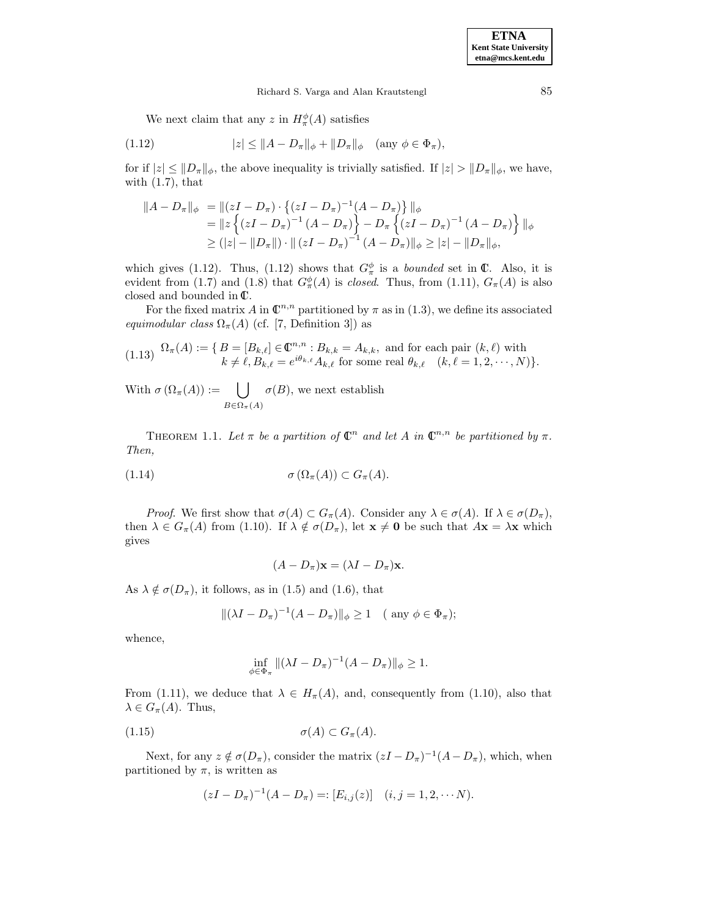We next claim that any z in  $H_{\pi}^{\phi}(A)$  satisfies

(1.12) 
$$
|z| \le ||A - D_{\pi}||_{\phi} + ||D_{\pi}||_{\phi} \quad (\text{any } \phi \in \Phi_{\pi}),
$$

for if  $|z| \leq ||D_\pi||_\phi$ , the above inequality is trivially satisfied. If  $|z| > ||D_\pi||_\phi$ , we have, with  $(1.7)$ , that

$$
||A - D_{\pi}||_{\phi} = ||(zI - D_{\pi}) \cdot \{(zI - D_{\pi})^{-1}(A - D_{\pi})\}||_{\phi}
$$
  
=  $||z \{(zI - D_{\pi})^{-1}(A - D_{\pi})\} - D_{\pi} \{(zI - D_{\pi})^{-1}(A - D_{\pi})\}||_{\phi}$   
 $\geq (|z| - ||D_{\pi}||) \cdot ||(zI - D_{\pi})^{-1}(A - D_{\pi})||_{\phi} \geq |z| - ||D_{\pi}||_{\phi},$ 

which gives (1.12). Thus, (1.12) shows that  $G_{\pi}^{\phi}$  is a *bounded* set in  $\mathbb{C}$ . Also, it is evident from (1.7) and (1.8) that  $G_{\pi}^{\phi}(A)$  is *closed*. Thus, from (1.11),  $G_{\pi}(A)$  is also closed and bounded in  $\mathbb{C}$ .

For the fixed matrix A in  $\mathbb{C}^{n,n}$  partitioned by  $\pi$  as in (1.3), we define its associated equimodular class  $\Omega_{\pi}(A)$  (cf. [7, Definition 3]) as

(1.13) 
$$
\Omega_{\pi}(A) := \{ B = [B_{k,\ell}] \in \mathbb{C}^{n,n} : B_{k,k} = A_{k,k}, \text{ and for each pair } (k,\ell) \text{ with } k \neq \ell, B_{k,\ell} = e^{i\theta_{k,\ell}} A_{k,\ell} \text{ for some real } \theta_{k,\ell} \quad (k,\ell = 1,2,\cdots,N) \}.
$$

With  $\sigma\left(\Omega_{\pi}(A)\right) := \begin{pmatrix} \end{pmatrix}$  $B \in \Omega_{\pi}(A)$  $\sigma(B)$ , we next establish

THEOREM 1.1. Let  $\pi$  be a partition of  $\mathbb{C}^n$  and let A in  $\mathbb{C}^{n,n}$  be partitioned by  $\pi$ . Then,

$$
\sigma\left(\Omega_{\pi}(A)\right) \subset G_{\pi}(A).
$$

*Proof.* We first show that  $\sigma(A) \subset G_{\pi}(A)$ . Consider any  $\lambda \in \sigma(A)$ . If  $\lambda \in \sigma(D_{\pi}),$ then  $\lambda \in G_{\pi}(A)$  from (1.10). If  $\lambda \notin \sigma(D_{\pi})$ , let  $\mathbf{x} \neq \mathbf{0}$  be such that  $A\mathbf{x} = \lambda \mathbf{x}$  which gives

$$
(A - D_{\pi})\mathbf{x} = (\lambda I - D_{\pi})\mathbf{x}.
$$

As  $\lambda \notin \sigma(D_\pi)$ , it follows, as in (1.5) and (1.6), that

$$
\|(\lambda I - D_{\pi})^{-1}(A - D_{\pi})\|_{\phi} \ge 1 \quad (\text{any } \phi \in \Phi_{\pi});
$$

whence,

$$
\inf_{\phi \in \Phi_{\pi}} \| (\lambda I - D_{\pi})^{-1} (A - D_{\pi}) \|_{\phi} \ge 1.
$$

From (1.11), we deduce that  $\lambda \in H_{\pi}(A)$ , and, consequently from (1.10), also that  $\lambda \in G_{\pi}(A)$ . Thus,

$$
(1.15) \qquad \sigma(A) \subset G_{\pi}(A).
$$

Next, for any  $z \notin \sigma(D_\pi)$ , consider the matrix  $(zI - D_\pi)^{-1}(A - D_\pi)$ , which, when partitioned by  $\pi$ , is written as

$$
(zI - D_{\pi})^{-1}(A - D_{\pi}) =: [E_{i,j}(z)] \quad (i, j = 1, 2, \cdots N).
$$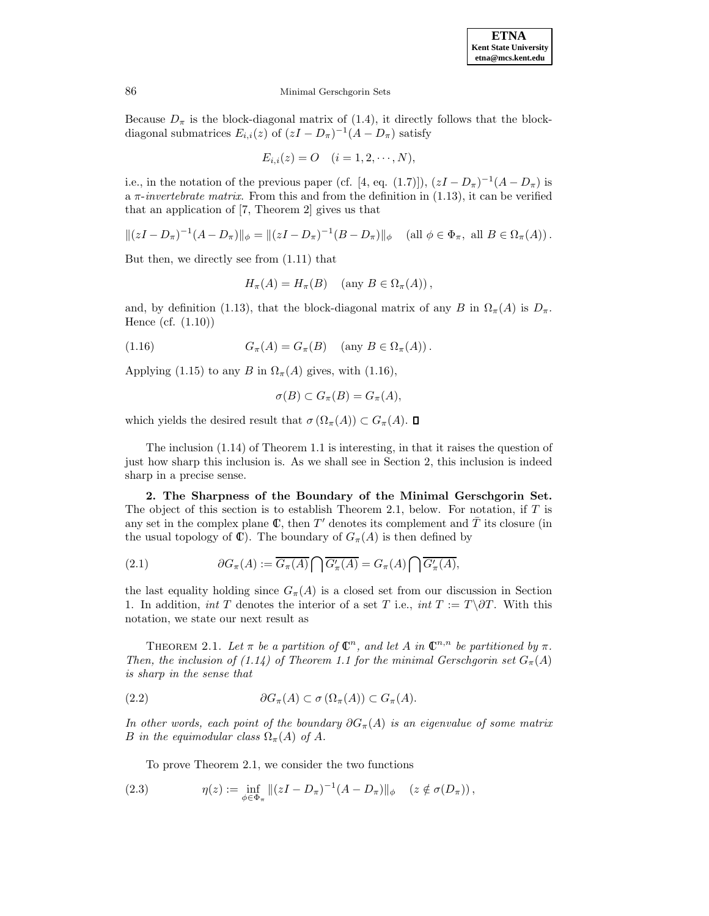Because  $D_{\pi}$  is the block-diagonal matrix of (1.4), it directly follows that the blockdiagonal submatrices  $E_{i,i}(z)$  of  $(zI - D_{\pi})^{-1}(A - D_{\pi})$  satisfy

$$
E_{i,i}(z) = O \quad (i = 1, 2, \cdots, N),
$$

i.e., in the notation of the previous paper (cf. [4, eq. (1.7)]),  $(zI - D_{\pi})^{-1}(A - D_{\pi})$  is a  $\pi$ -invertebrate matrix. From this and from the definition in (1.13), it can be verified that an application of [7, Theorem 2] gives us that

$$
\|(zI - D_{\pi})^{-1}(A - D_{\pi})\|_{\phi} = \|(zI - D_{\pi})^{-1}(B - D_{\pi})\|_{\phi} \quad \text{(all } \phi \in \Phi_{\pi}, \text{ all } B \in \Omega_{\pi}(A)).
$$

But then, we directly see from (1.11) that

$$
H_{\pi}(A) = H_{\pi}(B) \quad \text{(any } B \in \Omega_{\pi}(A)),
$$

and, by definition (1.13), that the block-diagonal matrix of any B in  $\Omega_{\pi}(A)$  is  $D_{\pi}$ . Hence (cf. (1.10))

(1.16) 
$$
G_{\pi}(A) = G_{\pi}(B) \quad \text{(any } B \in \Omega_{\pi}(A)).
$$

Applying (1.15) to any B in  $\Omega_{\pi}(A)$  gives, with (1.16),

$$
\sigma(B) \subset G_{\pi}(B) = G_{\pi}(A),
$$

which yields the desired result that  $\sigma(\Omega_{\pi}(A)) \subset G_{\pi}(A)$ .  $\square$ 

The inclusion (1.14) of Theorem 1.1 is interesting, in that it raises the question of just how sharp this inclusion is. As we shall see in Section 2, this inclusion is indeed sharp in a precise sense.

**2. The Sharpness of the Boundary of the Minimal Gerschgorin Set.** The object of this section is to establish Theorem 2.1, below. For notation, if  $T$  is any set in the complex plane  $\mathbb{C}$ , then T' denotes its complement and  $\overline{T}$  its closure (in the usual topology of  $\mathbb{C}$ ). The boundary of  $G_{\pi}(A)$  is then defined by

(2.1) 
$$
\partial G_{\pi}(A) := \overline{G_{\pi}(A)} \cap \overline{G'_{\pi}(A)} = G_{\pi}(A) \cap \overline{G'_{\pi}(A)},
$$

the last equality holding since  $G_{\pi}(A)$  is a closed set from our discussion in Section 1. In addition, int T denotes the interior of a set T i.e., int  $T := T \delta T$ . With this notation, we state our next result as

THEOREM 2.1. Let  $\pi$  be a partition of  $\mathbb{C}^n$ , and let A in  $\mathbb{C}^{n,n}$  be partitioned by  $\pi$ . Then, the inclusion of (1.14) of Theorem 1.1 for the minimal Gerschgorin set  $G_{\pi}(A)$ is sharp in the sense that

(2.2) 
$$
\partial G_{\pi}(A) \subset \sigma(\Omega_{\pi}(A)) \subset G_{\pi}(A).
$$

In other words, each point of the boundary  $\partial G_{\pi}(A)$  is an eigenvalue of some matrix B in the equimodular class  $\Omega_{\pi}(A)$  of A.

To prove Theorem 2.1, we consider the two functions

(2.3) 
$$
\eta(z) := \inf_{\phi \in \Phi_{\pi}} \|(zI - D_{\pi})^{-1}(A - D_{\pi})\|_{\phi} \quad (z \notin \sigma(D_{\pi})),
$$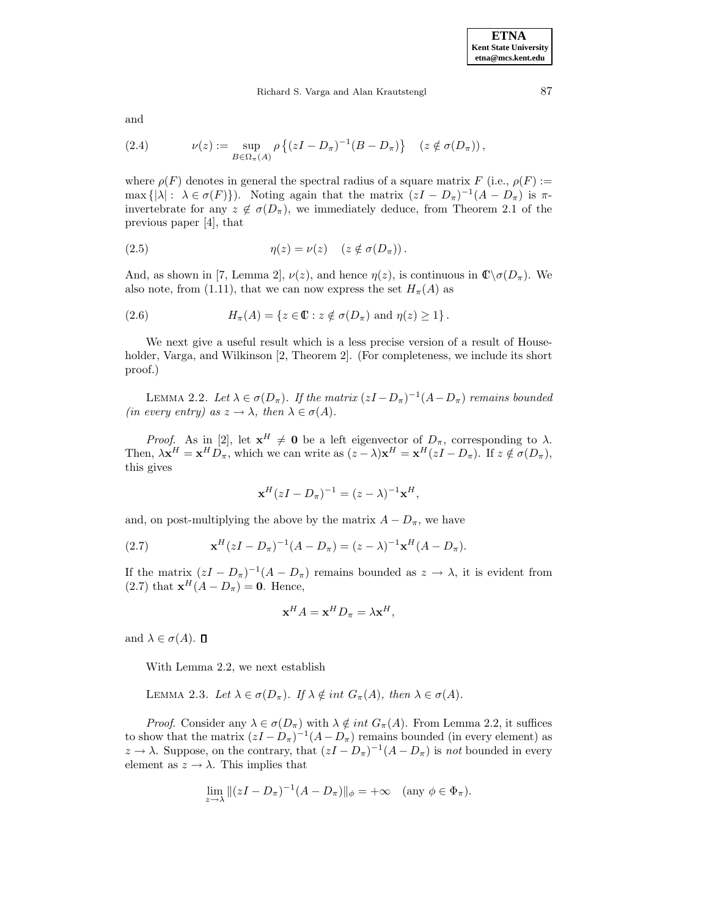#### Richard S. Varga and Alan Krautstengl 87

and

(2.4) 
$$
\nu(z) := \sup_{B \in \Omega_{\pi}(A)} \rho \left\{ (zI - D_{\pi})^{-1} (B - D_{\pi}) \right\} \quad (z \notin \sigma(D_{\pi})),
$$

where  $\rho(F)$  denotes in general the spectral radius of a square matrix F (i.e.,  $\rho(F) :=$ max  $\{|\lambda|: \lambda \in \sigma(F)\}\)$ . Noting again that the matrix  $(zI - D_{\pi})^{-1}(A - D_{\pi})$  is  $\pi$ invertebrate for any  $z \notin \sigma(D_\pi)$ , we immediately deduce, from Theorem 2.1 of the previous paper [4], that

(2.5) 
$$
\eta(z) = \nu(z) \quad (z \notin \sigma(D_{\pi})).
$$

And, as shown in [7, Lemma 2],  $\nu(z)$ , and hence  $\eta(z)$ , is continuous in  $\mathbb{C}\setminus\sigma(D_\pi)$ . We also note, from (1.11), that we can now express the set  $H_{\pi}(A)$  as

(2.6) 
$$
H_{\pi}(A) = \{ z \in \mathbb{C} : z \notin \sigma(D_{\pi}) \text{ and } \eta(z) \geq 1 \}.
$$

We next give a useful result which is a less precise version of a result of Householder, Varga, and Wilkinson [2, Theorem 2]. (For completeness, we include its short proof.)

LEMMA 2.2. Let  $\lambda \in \sigma(D_\pi)$ . If the matrix  $(zI - D_\pi)^{-1}(A - D_\pi)$  remains bounded (in every entry) as  $z \to \lambda$ , then  $\lambda \in \sigma(A)$ .

*Proof.* As in [2], let  $\mathbf{x}^H \neq \mathbf{0}$  be a left eigenvector of  $D_\pi$ , corresponding to  $\lambda$ . Then,  $\lambda \mathbf{x}^H = \mathbf{x}^H D_\pi$ , which we can write as  $(z - \lambda)\mathbf{x}^H = \mathbf{x}^H(zI - D_\pi)$ . If  $z \notin \sigma(D_\pi)$ , this gives

$$
\mathbf{x}^H(zI - D_{\pi})^{-1} = (z - \lambda)^{-1} \mathbf{x}^H,
$$

and, on post-multiplying the above by the matrix  $A - D_{\pi}$ , we have

(2.7) 
$$
\mathbf{x}^{H}(zI - D_{\pi})^{-1}(A - D_{\pi}) = (z - \lambda)^{-1}\mathbf{x}^{H}(A - D_{\pi}).
$$

If the matrix  $(zI - D_{\pi})^{-1}(A - D_{\pi})$  remains bounded as  $z \to \lambda$ , it is evident from (2.7) that  $\mathbf{x}^H(A - D_{\pi}) = \mathbf{0}$ . Hence,

$$
\mathbf{x}^H A = \mathbf{x}^H D_\pi = \lambda \mathbf{x}^H,
$$

and  $\lambda \in \sigma(A)$ .  $\Box$ 

With Lemma 2.2, we next establish

LEMMA 2.3. Let  $\lambda \in \sigma(D_\pi)$ . If  $\lambda \notin int G_\pi(A)$ , then  $\lambda \in \sigma(A)$ .

*Proof.* Consider any  $\lambda \in \sigma(D_\pi)$  with  $\lambda \notin int G_\pi(A)$ . From Lemma 2.2, it suffices to show that the matrix  $(zI - D_{\pi})^{-1}(A - D_{\pi})$  remains bounded (in every element) as  $z \to \lambda$ . Suppose, on the contrary, that  $(zI - D_{\pi})^{-1}(A - D_{\pi})$  is not bounded in every element as  $z \to \lambda$ . This implies that

$$
\lim_{z \to \lambda} \|(zI - D_{\pi})^{-1}(A - D_{\pi})\|_{\phi} = +\infty \quad \text{(any } \phi \in \Phi_{\pi}).
$$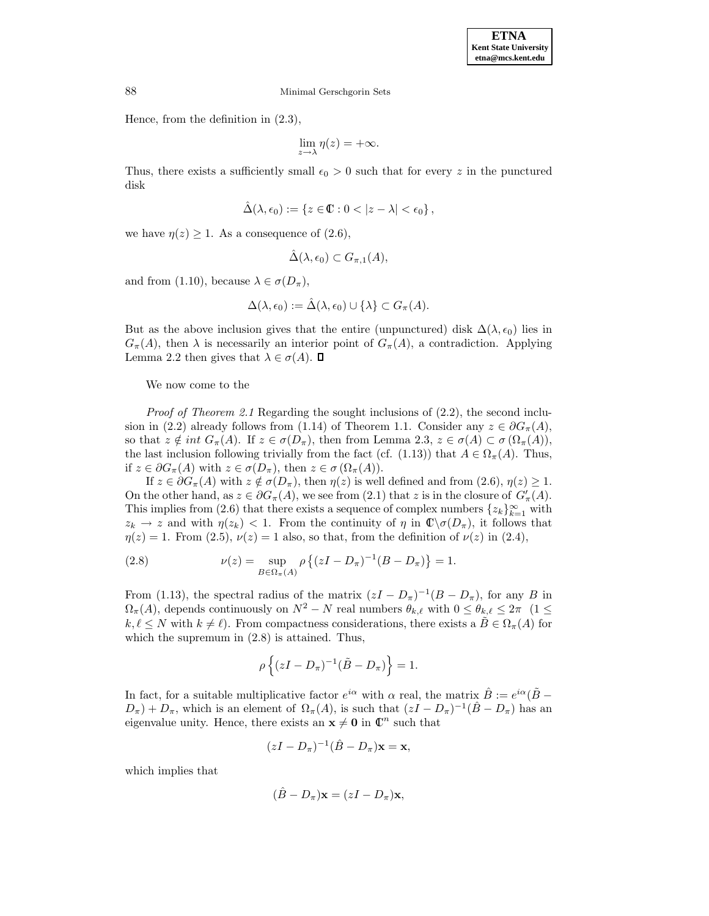Hence, from the definition in (2.3),

$$
\lim_{z \to \lambda} \eta(z) = +\infty.
$$

Thus, there exists a sufficiently small  $\epsilon_0 > 0$  such that for every z in the punctured disk

$$
\hat{\Delta}(\lambda,\epsilon_0):=\left\{z\in\mathbb{C}: 0<|z-\lambda|<\epsilon_0\right\},
$$

we have  $\eta(z) \geq 1$ . As a consequence of  $(2.6)$ ,

$$
\hat{\Delta}(\lambda,\epsilon_0) \subset G_{\pi,1}(A),
$$

and from (1.10), because  $\lambda \in \sigma(D_\pi)$ ,

$$
\Delta(\lambda, \epsilon_0) := \hat{\Delta}(\lambda, \epsilon_0) \cup \{\lambda\} \subset G_{\pi}(A).
$$

But as the above inclusion gives that the entire (unpunctured) disk  $\Delta(\lambda,\epsilon_0)$  lies in  $G_{\pi}(A)$ , then  $\lambda$  is necessarily an interior point of  $G_{\pi}(A)$ , a contradiction. Applying Lemma 2.2 then gives that  $\lambda \in \sigma(A)$ .  $\Box$ 

We now come to the

*Proof of Theorem 2.1* Regarding the sought inclusions of  $(2.2)$ , the second inclusion in (2.2) already follows from (1.14) of Theorem 1.1. Consider any  $z \in \partial G_{\pi}(A)$ , so that  $z \notin int G_\pi(A)$ . If  $z \in \sigma(D_\pi)$ , then from Lemma 2.3,  $z \in \sigma(A) \subset \sigma(\Omega_\pi(A))$ , the last inclusion following trivially from the fact (cf. (1.13)) that  $A \in \Omega_{\pi}(A)$ . Thus, if  $z \in \partial G_\pi(A)$  with  $z \in \sigma(D_\pi)$ , then  $z \in \sigma(\Omega_\pi(A))$ .

If  $z \in \partial G_{\pi}(A)$  with  $z \notin \sigma(D_{\pi})$ , then  $\eta(z)$  is well defined and from  $(2.6), \eta(z) \geq 1$ . On the other hand, as  $z \in \partial G_{\pi}(A)$ , we see from  $(2.1)$  that z is in the closure of  $G'_{\pi}(A)$ . This implies from (2.6) that there exists a sequence of complex numbers  $\{z_k\}_{k=1}^{\infty}$  with  $z_k \to z$  and with  $\eta(z_k) < 1$ . From the continuity of  $\eta$  in  $\mathbb{C}\setminus\sigma(D_\pi)$ , it follows that  $\eta(z) = 1$ . From (2.5),  $\nu(z) = 1$  also, so that, from the definition of  $\nu(z)$  in (2.4),

(2.8) 
$$
\nu(z) = \sup_{B \in \Omega_{\pi}(A)} \rho \left\{ (zI - D_{\pi})^{-1} (B - D_{\pi}) \right\} = 1.
$$

From (1.13), the spectral radius of the matrix  $(zI - D_{\pi})^{-1}(B - D_{\pi})$ , for any B in  $\Omega_{\pi}(A)$ , depends continuously on  $N^2 - N$  real numbers  $\theta_{k,\ell}$  with  $0 \leq \theta_{k,\ell} \leq 2\pi$  (1 ≤  $k, \ell \leq N$  with  $k \neq \ell$ . From compactness considerations, there exists a  $B \in \Omega_{\pi}(A)$  for which the supremum in (2.8) is attained. Thus,

$$
\rho\left\{(zI-D_{\pi})^{-1}(\tilde{B}-D_{\pi})\right\}=1.
$$

In fact, for a suitable multiplicative factor  $e^{i\alpha}$  with  $\alpha$  real, the matrix  $\hat{B} := e^{i\alpha}(\tilde{B} D_{\pi}$ ) +  $D_{\pi}$ , which is an element of  $\Omega_{\pi}(A)$ , is such that  $(zI - D_{\pi})^{-1}(\hat{B} - D_{\pi})$  has an eigenvalue unity. Hence, there exists an  $\mathbf{x} \neq \mathbf{0}$  in  $\mathbb{C}^n$  such that

$$
(zI - D_{\pi})^{-1}(\hat{B} - D_{\pi})\mathbf{x} = \mathbf{x},
$$

which implies that

$$
(\hat{B} - D_{\pi})\mathbf{x} = (zI - D_{\pi})\mathbf{x},
$$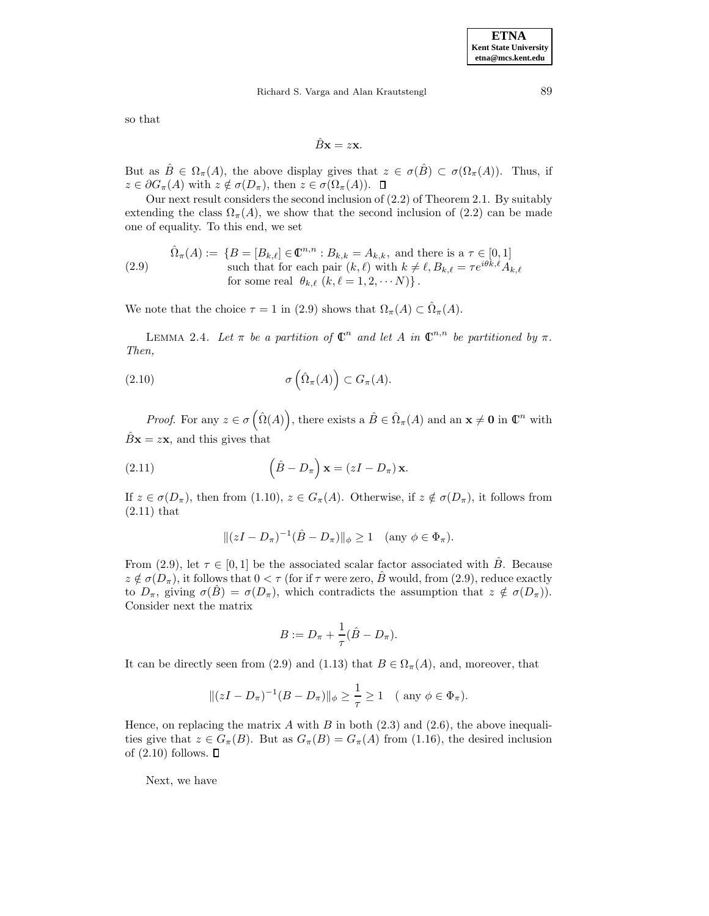# Richard S. Varga and Alan Krautstengl 89

so that

$$
\hat{B}\mathbf{x} = z\mathbf{x}.
$$

But as  $\hat{B} \in \Omega_{\pi}(A)$ , the above display gives that  $z \in \sigma(\hat{B}) \subset \sigma(\Omega_{\pi}(A))$ . Thus, if  $z \in \partial G_{\pi}(A)$  with  $z \notin \sigma(D_{\pi}),$  then  $z \in \sigma(\Omega_{\pi}(A)).$   $\Box$ 

Our next result considers the second inclusion of (2.2) of Theorem 2.1. By suitably extending the class  $\Omega_{\pi}(A)$ , we show that the second inclusion of (2.2) can be made one of equality. To this end, we set

(2.9) 
$$
\hat{\Omega}_{\pi}(A) := \{ B = [B_{k,\ell}] \in \mathbb{C}^{n,n} : B_{k,k} = A_{k,k}, \text{ and there is a } \tau \in [0,1] \text{ such that for each pair } (k,\ell) \text{ with } k \neq \ell, B_{k,\ell} = \tau e^{i\theta k,\ell} A_{k,\ell} \text{ for some real } \theta_{k,\ell} \ (k,\ell=1,2,\cdots N) \}.
$$

We note that the choice  $\tau = 1$  in (2.9) shows that  $\Omega_{\pi}(A) \subset \hat{\Omega}_{\pi}(A)$ .

LEMMA 2.4. Let  $\pi$  be a partition of  $\mathbb{C}^n$  and let A in  $\mathbb{C}^{n,n}$  be partitioned by  $\pi$ . Then,

(2.10) 
$$
\sigma\left(\hat{\Omega}_{\pi}(A)\right) \subset G_{\pi}(A).
$$

Proof. For any  $z \in \sigma\left(\hat{\Omega}(A)\right)$ , there exists a  $\hat{B} \in \hat{\Omega}_{\pi}(A)$  and an  $\mathbf{x} \neq \mathbf{0}$  in  $\mathbb{C}^n$  with  $\hat{B}$ **x** = z**x**, and this gives that

(2.11) 
$$
\left(\hat{B} - D_{\pi}\right)\mathbf{x} = (zI - D_{\pi})\mathbf{x}.
$$

If  $z \in \sigma(D_\pi)$ , then from (1.10),  $z \in G_\pi(A)$ . Otherwise, if  $z \notin \sigma(D_\pi)$ , it follows from (2.11) that

$$
||(zI - D_{\pi})^{-1}(\hat{B} - D_{\pi})||_{\phi} \ge 1
$$
 (any  $\phi \in \Phi_{\pi}$ ).

From (2.9), let  $\tau \in [0, 1]$  be the associated scalar factor associated with  $\hat{B}$ . Because  $z \notin \sigma(D_\pi)$ , it follows that  $0 < \tau$  (for if  $\tau$  were zero,  $\hat{B}$  would, from (2.9), reduce exactly to  $D_{\pi}$ , giving  $\sigma(\hat{B}) = \sigma(D_{\pi})$ , which contradicts the assumption that  $z \notin \sigma(D_{\pi})$ . Consider next the matrix

$$
B:=D_{\pi}+\frac{1}{\tau}(\hat{B}-D_{\pi}).
$$

It can be directly seen from (2.9) and (1.13) that  $B \in \Omega_{\pi}(A)$ , and, moreover, that

$$
||(zI - D_{\pi})^{-1}(B - D_{\pi})||_{\phi} \ge \frac{1}{\tau} \ge 1
$$
 (any  $\phi \in \Phi_{\pi}$ ).

Hence, on replacing the matrix A with B in both  $(2.3)$  and  $(2.6)$ , the above inequalities give that  $z \in G_\pi(B)$ . But as  $G_\pi(B) = G_\pi(A)$  from (1.16), the desired inclusion of  $(2.10)$  follows.  $\Box$ 

Next, we have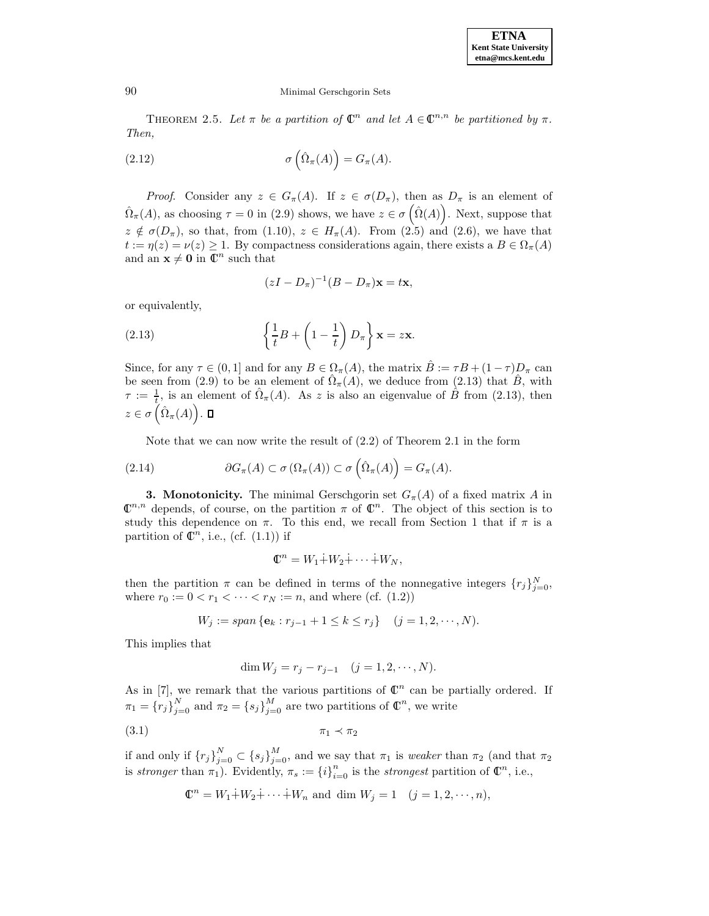THEOREM 2.5. Let  $\pi$  be a partition of  $\mathbb{C}^n$  and let  $A \in \mathbb{C}^{n,n}$  be partitioned by  $\pi$ . Then,

(2.12) 
$$
\sigma\left(\hat{\Omega}_{\pi}(A)\right) = G_{\pi}(A).
$$

*Proof.* Consider any  $z \in G_{\pi}(A)$ . If  $z \in \sigma(D_{\pi})$ , then as  $D_{\pi}$  is an element of  $\hat{\Omega}_{\pi}(A)$ , as choosing  $\tau = 0$  in (2.9) shows, we have  $z \in \sigma(\hat{\Omega}(A))$ . Next, suppose that  $z \notin \sigma(D_\pi)$ , so that, from (1.10),  $z \in H_\pi(A)$ . From (2.5) and (2.6), we have that  $t := \eta(z) = \nu(z) \geq 1$ . By compactness considerations again, there exists a  $B \in \Omega_{\pi}(A)$ and an  $\mathbf{x} \neq \mathbf{0}$  in  $\mathbb{C}^n$  such that

$$
(zI - D_{\pi})^{-1}(B - D_{\pi})\mathbf{x} = t\mathbf{x},
$$

or equivalently,

(2.13) 
$$
\left\{\frac{1}{t}B+\left(1-\frac{1}{t}\right)D_{\pi}\right\}\mathbf{x}=z\mathbf{x}.
$$

Since, for any  $\tau \in (0,1]$  and for any  $B \in \Omega_{\pi}(A)$ , the matrix  $\hat{B} := \tau B + (1 - \tau)D_{\pi}$  can be seen from (2.9) to be an element of  $\hat{\Omega}_{\pi}(A)$ , we deduce from (2.13) that  $\hat{B}$ , with  $\tau := \frac{1}{t}$ , is an element of  $\hat{\Omega}_{\pi}(A)$ . As z is also an eigenvalue of  $\hat{B}$  from (2.13), then  $z \in \sigma\left(\hat{\Omega}_{\pi}(A)\right).$ 

Note that we can now write the result of  $(2.2)$  of Theorem 2.1 in the form

(2.14) 
$$
\partial G_{\pi}(A) \subset \sigma(\Omega_{\pi}(A)) \subset \sigma\left(\hat{\Omega}_{\pi}(A)\right) = G_{\pi}(A).
$$

**3. Monotonicity.** The minimal Gerschgorin set  $G_{\pi}(A)$  of a fixed matrix A in  $\mathbb{C}^{n,n}$  depends, of course, on the partition  $\pi$  of  $\mathbb{C}^n$ . The object of this section is to study this dependence on  $\pi$ . To this end, we recall from Section 1 that if  $\pi$  is a partition of  $\mathbb{C}^n$ , i.e., (cf. (1.1)) if

$$
\mathbb{C}^n = W_1 \dot{+} W_2 \dot{+} \cdots \dot{+} W_N,
$$

then the partition  $\pi$  can be defined in terms of the nonnegative integers  $\{r_j\}_{j=0}^N$ , where  $r_0 := 0 < r_1 < \cdots < r_N := n$ , and where (cf. (1.2))

$$
W_j := span \{ \mathbf{e}_k : r_{j-1} + 1 \le k \le r_j \} \quad (j = 1, 2, \cdots, N).
$$

This implies that

$$
\dim W_j = r_j - r_{j-1} \quad (j = 1, 2, \cdots, N).
$$

As in [7], we remark that the various partitions of  $\mathbb{C}^n$  can be partially ordered. If  $\pi_1 = \{r_j\}_{j=0}^N$  and  $\pi_2 = \{s_j\}_{j=0}^M$  are two partitions of  $\mathbb{C}^n$ , we write

$$
\pi_1 \prec \pi_2
$$

if and only if  ${r_j}_{j=0}^N \subset {s_j}_{j=0}^M$ , and we say that  $\pi_1$  is *weaker* than  $\pi_2$  (and that  $\pi_2$ is stronger than  $\pi_1$ ). Evidently,  $\pi_s := \{i\}_{i=0}^n$  is the strongest partition of  $\mathbb{C}^n$ , i.e.,

$$
\mathbb{C}^{n} = W_{1} \dot{+} W_{2} \dot{+} \cdots \dot{+} W_{n} \text{ and } \dim W_{j} = 1 \quad (j = 1, 2, \cdots, n),
$$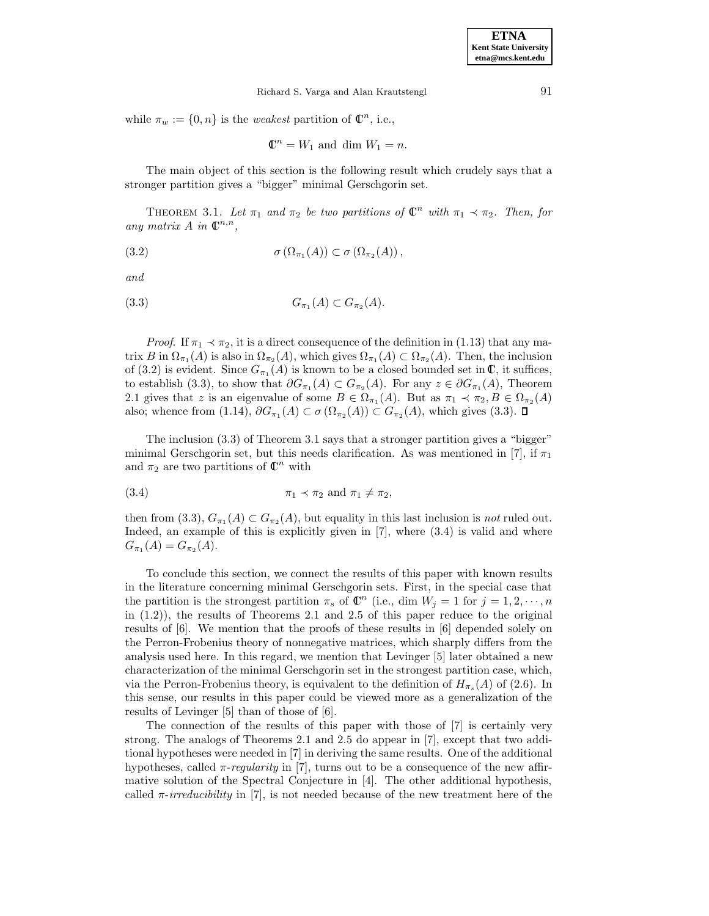while  $\pi_w := \{0, n\}$  is the *weakest* partition of  $\mathbb{C}^n$ , i.e.,

 $\mathbb{C}^n = W_1$  and dim  $W_1 = n$ .

The main object of this section is the following result which crudely says that a stronger partition gives a "bigger" minimal Gerschgorin set.

THEOREM 3.1. Let  $\pi_1$  and  $\pi_2$  be two partitions of  $\mathbb{C}^n$  with  $\pi_1 \prec \pi_2$ . Then, for any matrix  $A$  in  $\mathbb{C}^{n,n}$ ,

(3.2) 
$$
\sigma(\Omega_{\pi_1}(A)) \subset \sigma(\Omega_{\pi_2}(A)),
$$

and

$$
(3.3) \tG_{\pi_1}(A) \subset G_{\pi_2}(A).
$$

*Proof.* If  $\pi_1 \prec \pi_2$ , it is a direct consequence of the definition in (1.13) that any matrix B in  $\Omega_{\pi_1}(A)$  is also in  $\Omega_{\pi_2}(A)$ , which gives  $\Omega_{\pi_1}(A) \subset \Omega_{\pi_2}(A)$ . Then, the inclusion of (3.2) is evident. Since  $G_{\pi_1}(A)$  is known to be a closed bounded set in  $\mathbb{C}$ , it suffices, to establish (3.3), to show that  $\partial G_{\pi_1}(A) \subset G_{\pi_2}(A)$ . For any  $z \in \partial G_{\pi_1}(A)$ , Theorem 2.1 gives that z is an eigenvalue of some  $B \in \Omega_{\pi_1}(A)$ . But as  $\pi_1 \prec \pi_2, B \in \Omega_{\pi_2}(A)$ also; whence from (1.14),  $\partial G_{\pi_1}(A) \subset \sigma(\Omega_{\pi_2}(A)) \subset G_{\pi_2}(A)$ , which gives (3.3).  $\square$ 

The inclusion (3.3) of Theorem 3.1 says that a stronger partition gives a "bigger" minimal Gerschgorin set, but this needs clarification. As was mentioned in [7], if  $\pi_1$ and  $\pi_2$  are two partitions of  $\mathbb{C}^n$  with

(3.4) 
$$
\pi_1 \prec \pi_2 \text{ and } \pi_1 \neq \pi_2,
$$

then from (3.3),  $G_{\pi_1}(A) \subset G_{\pi_2}(A)$ , but equality in this last inclusion is *not* ruled out. Indeed, an example of this is explicitly given in [7], where (3.4) is valid and where  $G_{\pi_1}(A) = G_{\pi_2}(A).$ 

To conclude this section, we connect the results of this paper with known results in the literature concerning minimal Gerschgorin sets. First, in the special case that the partition is the strongest partition  $\pi_s$  of  $\mathbb{C}^n$  (i.e., dim  $W_j = 1$  for  $j = 1, 2, \dots, n$ in (1.2)), the results of Theorems 2.1 and 2.5 of this paper reduce to the original results of [6]. We mention that the proofs of these results in [6] depended solely on the Perron-Frobenius theory of nonnegative matrices, which sharply differs from the analysis used here. In this regard, we mention that Levinger [5] later obtained a new characterization of the minimal Gerschgorin set in the strongest partition case, which, via the Perron-Frobenius theory, is equivalent to the definition of  $H_{\pi_s}(A)$  of (2.6). In this sense, our results in this paper could be viewed more as a generalization of the results of Levinger [5] than of those of [6].

The connection of the results of this paper with those of [7] is certainly very strong. The analogs of Theorems 2.1 and 2.5 do appear in [7], except that two additional hypotheses were needed in [7] in deriving the same results. One of the additional hypotheses, called  $\pi$ -regularity in [7], turns out to be a consequence of the new affirmative solution of the Spectral Conjecture in [4]. The other additional hypothesis, called  $\pi$ -irreducibility in [7], is not needed because of the new treatment here of the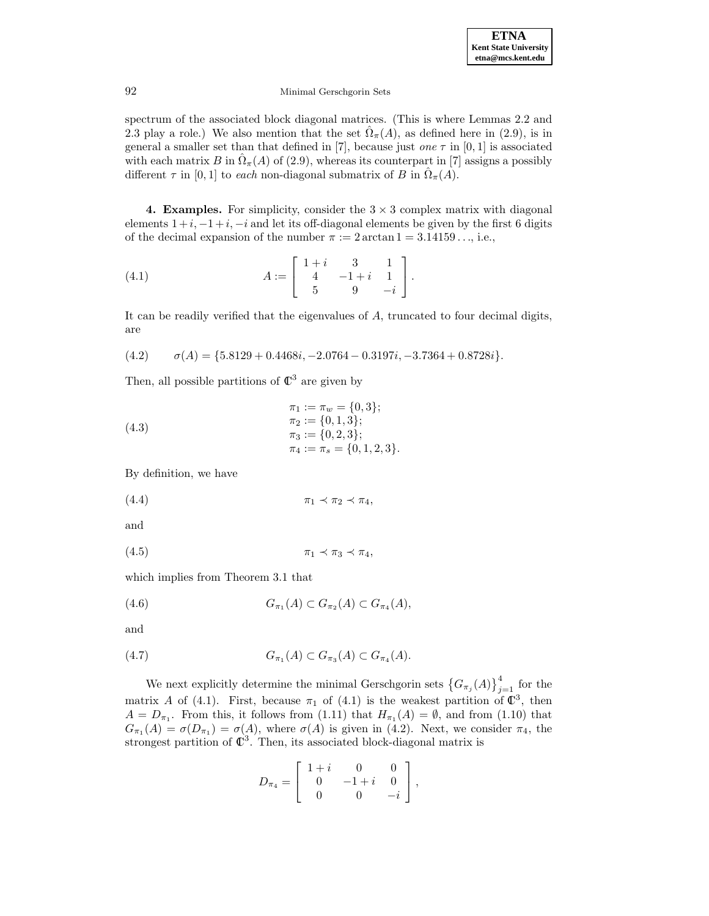spectrum of the associated block diagonal matrices. (This is where Lemmas 2.2 and 2.3 play a role.) We also mention that the set  $\hat{\Omega}_{\pi}(A)$ , as defined here in (2.9), is in general a smaller set than that defined in [7], because just one  $\tau$  in [0, 1] is associated with each matrix B in  $\Omega_{\pi}(A)$  of (2.9), whereas its counterpart in [7] assigns a possibly different  $\tau$  in [0, 1] to each non-diagonal submatrix of B in  $\Omega_{\pi}(A)$ .

**4. Examples.** For simplicity, consider the  $3 \times 3$  complex matrix with diagonal elements  $1+i$ ,  $-1+i$ ,  $-i$  and let its off-diagonal elements be given by the first 6 digits of the decimal expansion of the number  $\pi := 2 \arctan 1 = 3.14159...$ , i.e.,

(4.1) 
$$
A := \begin{bmatrix} 1+i & 3 & 1 \\ 4 & -1+i & 1 \\ 5 & 9 & -i \end{bmatrix}.
$$

It can be readily verified that the eigenvalues of A, truncated to four decimal digits, are

$$
(4.2) \qquad \sigma(A) = \{5.8129 + 0.4468i, -2.0764 - 0.3197i, -3.7364 + 0.8728i\}.
$$

Then, all possible partitions of  $\mathbb{C}^3$  are given by

(4.3)  
\n
$$
\begin{aligned}\n\pi_1 &:= \pi_w = \{0, 3\}; \\
\pi_2 &:= \{0, 1, 3\}; \\
\pi_3 &:= \{0, 2, 3\}; \\
\pi_4 &:= \pi_s = \{0, 1, 2, 3\}.\n\end{aligned}
$$

By definition, we have

$$
\pi_1 \prec \pi_2 \prec \pi_4,
$$

and

$$
\pi_1 \prec \pi_3 \prec \pi_4,
$$

which implies from Theorem 3.1 that

(4.6) 
$$
G_{\pi_1}(A) \subset G_{\pi_2}(A) \subset G_{\pi_4}(A),
$$

and

(4.7) 
$$
G_{\pi_1}(A) \subset G_{\pi_3}(A) \subset G_{\pi_4}(A).
$$

We next explicitly determine the minimal Gerschgorin sets  $\{G_{\pi_j}(A)\}_{j=1}^4$  for the matrix A of (4.1). First, because  $\pi_1$  of (4.1) is the weakest partition of  $\mathbb{C}^3$ , then  $A = D_{\pi_1}$ . From this, it follows from (1.11) that  $H_{\pi_1}(A) = \emptyset$ , and from (1.10) that  $G_{\pi_1}(A) = \sigma(D_{\pi_1}) = \sigma(A)$ , where  $\sigma(A)$  is given in (4.2). Next, we consider  $\pi_4$ , the strongest partition of  $\mathbb{C}^3$ . Then, its associated block-diagonal matrix is

$$
D_{\pi_4} = \left[ \begin{array}{rrr} 1+i & 0 & 0 \\ 0 & -1+i & 0 \\ 0 & 0 & -i \end{array} \right],
$$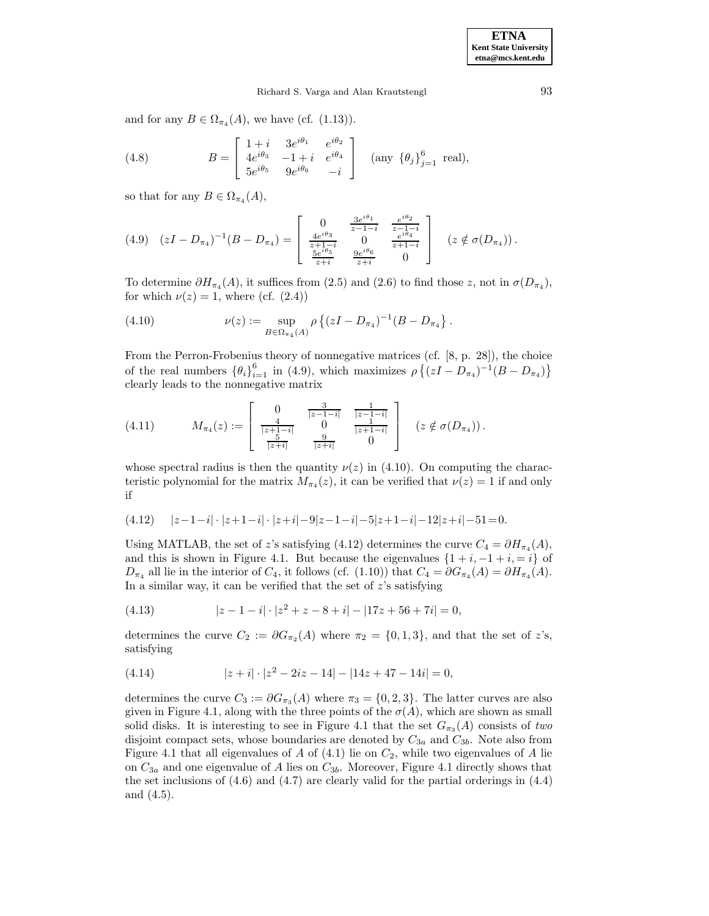### Richard S. Varga and Alan Krautstengl 93

and for any  $B \in \Omega_{\pi_4}(A)$ , we have (cf. (1.13)).

(4.8) 
$$
B = \begin{bmatrix} 1+i & 3e^{i\theta_1} & e^{i\theta_2} \\ 4e^{i\theta_3} & -1+i & e^{i\theta_4} \\ 5e^{i\theta_5} & 9e^{i\theta_6} & -i \end{bmatrix}
$$
 (any  $\{\theta_j\}_{j=1}^6$  real),

so that for any  $B \in \Omega_{\pi_4}(A)$ ,

$$
(4.9) \quad (zI - D_{\pi_4})^{-1}(B - D_{\pi_4}) = \begin{bmatrix} 0 & \frac{3e^{i\theta_1}}{z - 1 - i} & \frac{e^{i\theta_2}}{z - 1 - i} \\ \frac{4e^{i\theta_3}}{z + 1 - i} & 0 & \frac{e^{i\theta_4}}{z + 1 - i} \\ \frac{5e^{i\theta_5}}{z + i} & \frac{9e^{i\theta_6}}{z + i} & 0 \end{bmatrix} \quad (z \notin \sigma(D_{\pi_4})).
$$

To determine  $\partial H_{\pi_4}(A)$ , it suffices from (2.5) and (2.6) to find those z, not in  $\sigma(D_{\pi_4})$ , for which  $\nu(z) = 1$ , where (cf.  $(2.4)$ )

(4.10) 
$$
\nu(z) := \sup_{B \in \Omega_{\pi_4}(A)} \rho \left\{ (zI - D_{\pi_4})^{-1} (B - D_{\pi_4}) \right\}.
$$

From the Perron-Frobenius theory of nonnegative matrices (cf. [8, p. 28]), the choice of the real numbers  ${\lbrace \theta_i \rbrace}_{i=1}^6$  in (4.9), which maximizes  $\rho \{ (zI - D_{\pi_4})^{-1} (B - D_{\pi_4}) \}$ clearly leads to the nonnegative matrix

$$
(4.11) \tM_{\pi_4}(z) := \begin{bmatrix} 0 & \frac{3}{|z-1-i|} & \frac{1}{|z-1-i|} \\ \frac{4}{|z+1-i|} & 0 & \frac{1}{|z+1-i|} \\ \frac{5}{|z+i|} & \frac{9}{|z+i|} & 0 \end{bmatrix} (z \notin \sigma(D_{\pi_4})).
$$

whose spectral radius is then the quantity  $\nu(z)$  in (4.10). On computing the characteristic polynomial for the matrix  $M_{\pi_4}(z)$ , it can be verified that  $\nu(z) = 1$  if and only if

$$
(4.12) \qquad |z-1-i|\cdot |z+1-i|\cdot |z+i|-9|z-1-i|-5|z+1-i|-12|z+i|-51=0.
$$

Using MATLAB, the set of z's satisfying (4.12) determines the curve  $C_4 = \partial H_{\pi_4}(A)$ , and this is shown in Figure 4.1. But because the eigenvalues  $\{1+i, -1+i, i\}$  of  $D_{\pi_4}$  all lie in the interior of  $C_4$ , it follows (cf. (1.10)) that  $C_4 = \partial G_{\pi_4}(A) = \partial H_{\pi_4}(A)$ . In a similar way, it can be verified that the set of  $z$ 's satisfying

(4.13) 
$$
|z - 1 - i| \cdot |z^2 + z - 8 + i| - |17z + 56 + 7i| = 0,
$$

determines the curve  $C_2 := \partial G_{\pi_2}(A)$  where  $\pi_2 = \{0, 1, 3\}$ , and that the set of z's, satisfying

(4.14) 
$$
|z + i| \cdot |z^2 - 2iz - 14| - |14z + 47 - 14i| = 0,
$$

determines the curve  $C_3 := \partial G_{\pi_3}(A)$  where  $\pi_3 = \{0, 2, 3\}$ . The latter curves are also given in Figure 4.1, along with the three points of the  $\sigma(A)$ , which are shown as small solid disks. It is interesting to see in Figure 4.1 that the set  $G_{\pi_3}(A)$  consists of two disjoint compact sets, whose boundaries are denoted by  $C_{3a}$  and  $C_{3b}$ . Note also from Figure 4.1 that all eigenvalues of A of  $(4.1)$  lie on  $C_2$ , while two eigenvalues of A lie on  $C_{3a}$  and one eigenvalue of A lies on  $C_{3b}$ . Moreover, Figure 4.1 directly shows that the set inclusions of  $(4.6)$  and  $(4.7)$  are clearly valid for the partial orderings in  $(4.4)$ and (4.5).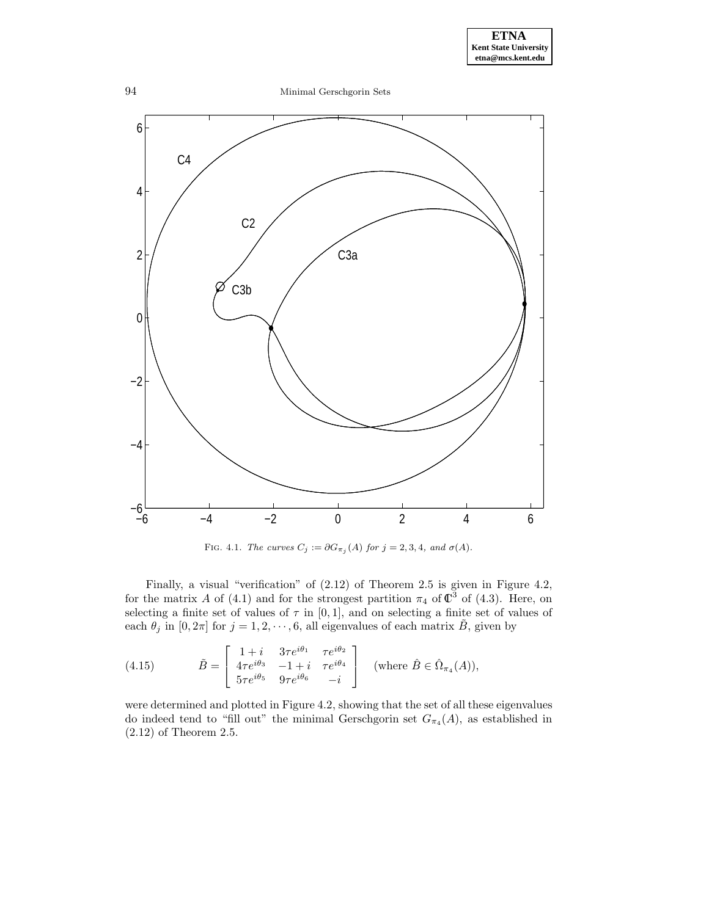

FIG. 4.1. The curves  $C_j := \partial G_{\pi_j}(A)$  for  $j = 2, 3, 4$ , and  $\sigma(A)$ .

Finally, a visual "verification" of (2.12) of Theorem 2.5 is given in Figure 4.2, for the matrix A of (4.1) and for the strongest partition  $\pi_4$  of  $\mathbb{C}^3$  of (4.3). Here, on selecting a finite set of values of  $\tau$  in [0, 1], and on selecting a finite set of values of each  $\theta_j$  in  $[0, 2\pi]$  for  $j = 1, 2, \dots, 6$ , all eigenvalues of each matrix  $\tilde{B}$ , given by

(4.15) 
$$
\tilde{B} = \begin{bmatrix} 1+i & 3\tau e^{i\theta_1} & \tau e^{i\theta_2} \\ 4\tau e^{i\theta_3} & -1+i & \tau e^{i\theta_4} \\ 5\tau e^{i\theta_5} & 9\tau e^{i\theta_6} & -i \end{bmatrix} \text{ (where } \hat{B} \in \hat{\Omega}_{\pi_4}(A)),
$$

were determined and plotted in Figure 4.2, showing that the set of all these eigenvalues do indeed tend to "fill out" the minimal Gerschgorin set  $G_{\pi_4}(A)$ , as established in (2.12) of Theorem 2.5.